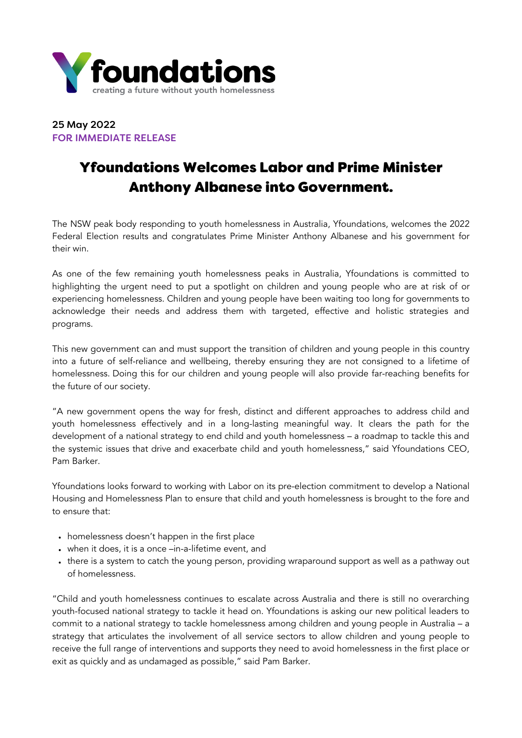

## 25 May 2022 FOR IMMEDIATE RELEASE

# Yfoundations Welcomes Labor and Prime Minister Anthony Albanese into Government.

The NSW peak body responding to youth homelessness in Australia, Yfoundations, welcomes the 2022 Federal Election results and congratulates Prime Minister Anthony Albanese and his government for their win.

As one of the few remaining youth homelessness peaks in Australia, Yfoundations is committed to highlighting the urgent need to put a spotlight on children and young people who are at risk of or experiencing homelessness. Children and young people have been waiting too long for governments to acknowledge their needs and address them with targeted, effective and holistic strategies and programs.

This new government can and must support the transition of children and young people in this country into a future of self-reliance and wellbeing, thereby ensuring they are not consigned to a lifetime of homelessness. Doing this for our children and young people will also provide far-reaching benefits for the future of our society.

"A new government opens the way for fresh, distinct and different approaches to address child and youth homelessness effectively and in a long-lasting meaningful way. It clears the path for the development of a national strategy to end child and youth homelessness – a roadmap to tackle this and the systemic issues that drive and exacerbate child and youth homelessness," said Yfoundations CEO, Pam Barker.

Yfoundations looks forward to working with Labor on its pre-election commitment to develop a National Housing and Homelessness Plan to ensure that child and youth homelessness is brought to the fore and to ensure that:

- homelessness doesn't happen in the first place
- when it does, it is a once –in-a-lifetime event, and
- there is a system to catch the young person, providing wraparound support as well as a pathway out of homelessness.

"Child and youth homelessness continues to escalate across Australia and there is still no overarching youth-focused national strategy to tackle it head on. Yfoundations is asking our new political leaders to commit to a national strategy to tackle homelessness among children and young people in Australia – a strategy that articulates the involvement of all service sectors to allow children and young people to receive the full range of interventions and supports they need to avoid homelessness in the first place or exit as quickly and as undamaged as possible," said Pam Barker.